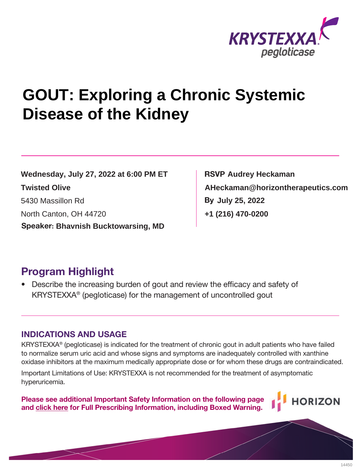

# **GOUT: Exploring a Chronic Systemic Disease of the Kidney**

**By July 25, 2022**<br>
North Canton, OH 44720<br> **Speaker: Bhavnish Bucktowarsing, MD**  $\begin{bmatrix} 430 & 470-0200 \\ 470 & -0200 \end{bmatrix}$ **Wednesday, July 27, 2022 at 6:00 PM ET**

**RSVP By AHeckaman@horizontherapeutics.com Audrey Heckaman +1 (216) 470-0200**

# **Program Highlight**

Describe the increasing burden of gout and review the efficacy and safety of KRYSTEXXA® (pegloticase) for the management of uncontrolled gout

## **INDICATIONS AND USAGE**

KRYSTEXXA® (pegloticase) is indicated for the treatment of chronic gout in adult patients who have failed to normalize serum uric acid and whose signs and symptoms are inadequately controlled with xanthine oxidase inhibitors at the maximum medically appropriate dose or for whom these drugs are contraindicated. Twisted Olive<br>
North Canton, OH 44720<br>
Speaker: Bhavnish Bucktowarsing, MD<br>
North Canton, OH 44720<br>
Speaker: Bhavnish Bucktowarsing, MD<br>
Program Highlight<br>
FOG Tamp Highlight<br>
FOG Tamp Highlight<br>
FOG Tamp Highlight<br>
FOG Ta

Important Limitations of Use: KRYSTEXXA is not recommended for the treatment of asymptomatic hyperuricemia.

**Please see additional Important Safety Information on the following page an[d click here f](https://hznp.azureedge.net/public/KRYSTEXXA_Prescribing_Information.pdf)or Full Prescribing Information, including Boxed Warning.**